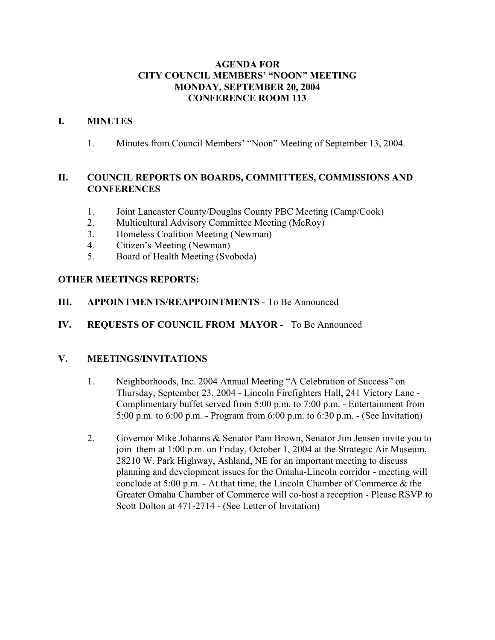### **AGENDA FOR CITY COUNCIL MEMBERS' "NOON" MEETING MONDAY, SEPTEMBER 20, 2004 CONFERENCE ROOM 113**

### **I. MINUTES**

1. Minutes from Council Members' "Noon" Meeting of September 13, 2004.

## **II. COUNCIL REPORTS ON BOARDS, COMMITTEES, COMMISSIONS AND CONFERENCES**

- 1. Joint Lancaster County/Douglas County PBC Meeting (Camp/Cook)
- 2. Multicultural Advisory Committee Meeting (McRoy)
- 3. Homeless Coalition Meeting (Newman)
- 4. Citizen's Meeting (Newman)
- 5. Board of Health Meeting (Svoboda)

## **OTHER MEETINGS REPORTS:**

- **III. APPOINTMENTS/REAPPOINTMENTS** To Be Announced
- **IV. REQUESTS OF COUNCIL FROM MAYOR** To Be Announced

## **V. MEETINGS/INVITATIONS**

- 1. Neighborhoods, Inc. 2004 Annual Meeting "A Celebration of Success" on Thursday, September 23, 2004 - Lincoln Firefighters Hall, 241 Victory Lane - Complimentary buffet served from 5:00 p.m. to 7:00 p.m. - Entertainment from 5:00 p.m. to 6:00 p.m. - Program from 6:00 p.m. to 6:30 p.m. - (See Invitation)
- 2. Governor Mike Johanns & Senator Pam Brown, Senator Jim Jensen invite you to join them at 1:00 p.m. on Friday, October 1, 2004 at the Strategic Air Museum, 28210 W. Park Highway, Ashland, NE for an important meeting to discuss planning and development issues for the Omaha-Lincoln corridor - meeting will conclude at 5:00 p.m. - At that time, the Lincoln Chamber of Commerce & the Greater Omaha Chamber of Commerce will co-host a reception - Please RSVP to Scott Dolton at 471-2714 - (See Letter of Invitation)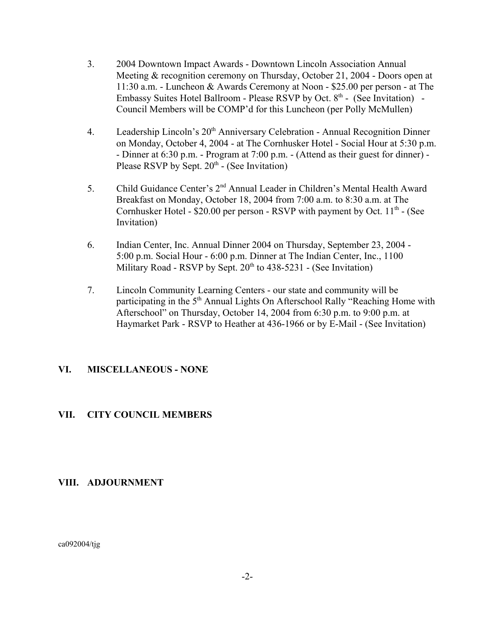- 3. 2004 Downtown Impact Awards Downtown Lincoln Association Annual Meeting & recognition ceremony on Thursday, October 21, 2004 - Doors open at 11:30 a.m. - Luncheon & Awards Ceremony at Noon - \$25.00 per person - at The Embassy Suites Hotel Ballroom - Please RSVP by Oct.  $8<sup>th</sup>$  - (See Invitation) -Council Members will be COMP'd for this Luncheon (per Polly McMullen)
- 4. Leadership Lincoln's 20<sup>th</sup> Anniversary Celebration Annual Recognition Dinner on Monday, October 4, 2004 - at The Cornhusker Hotel - Social Hour at 5:30 p.m. - Dinner at 6:30 p.m. - Program at 7:00 p.m. - (Attend as their guest for dinner) - Please RSVP by Sept.  $20<sup>th</sup>$  - (See Invitation)
- 5. Child Guidance Center's 2nd Annual Leader in Children's Mental Health Award Breakfast on Monday, October 18, 2004 from 7:00 a.m. to 8:30 a.m. at The Cornhusker Hotel -  $$20.00$  per person - RSVP with payment by Oct.  $11<sup>th</sup>$  - (See Invitation)
- 6. Indian Center, Inc. Annual Dinner 2004 on Thursday, September 23, 2004 5:00 p.m. Social Hour - 6:00 p.m. Dinner at The Indian Center, Inc., 1100 Military Road - RSVP by Sept.  $20<sup>th</sup>$  to 438-5231 - (See Invitation)
- 7. Lincoln Community Learning Centers our state and community will be participating in the 5<sup>th</sup> Annual Lights On Afterschool Rally "Reaching Home with Afterschool" on Thursday, October 14, 2004 from 6:30 p.m. to 9:00 p.m. at Haymarket Park - RSVP to Heather at 436-1966 or by E-Mail - (See Invitation)

## **VI. MISCELLANEOUS - NONE**

## **VII. CITY COUNCIL MEMBERS**

## **VIII. ADJOURNMENT**

ca092004/tjg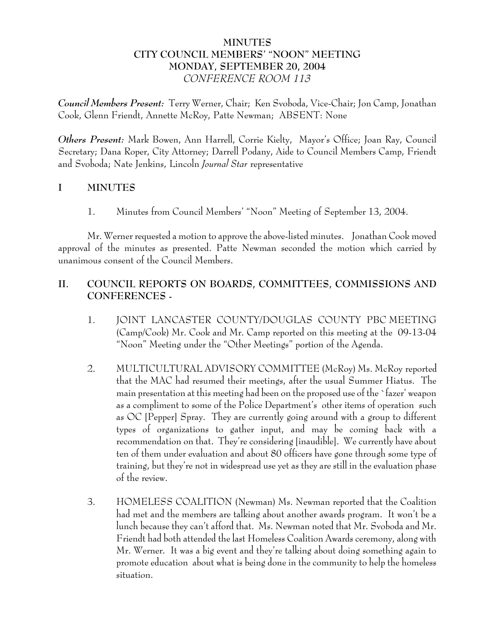## **MINUTES CITY COUNCIL MEMBERS' "NOON" MEETING MONDAY, SEPTEMBER 20, 2004** *CONFERENCE ROOM 113*

*Council Members Present:* Terry Werner, Chair; Ken Svoboda, Vice-Chair; Jon Camp, Jonathan Cook, Glenn Friendt, Annette McRoy, Patte Newman; ABSENT: None

*Others Present:* Mark Bowen, Ann Harrell, Corrie Kielty, Mayor's Office; Joan Ray, Council Secretary; Dana Roper, City Attorney; Darrell Podany, Aide to Council Members Camp, Friendt and Svoboda; Nate Jenkins, Lincoln *Journal Star* representative

# **I MINUTES**

1. Minutes from Council Members' "Noon" Meeting of September 13, 2004.

Mr. Werner requested a motion to approve the above-listed minutes. Jonathan Cook moved approval of the minutes as presented. Patte Newman seconded the motion which carried by unanimous consent of the Council Members.

# **II. COUNCIL REPORTS ON BOARDS, COMMITTEES, COMMISSIONS AND CONFERENCES -**

- 1. JOINT LANCASTER COUNTY/DOUGLAS COUNTY PBC MEETING (Camp/Cook) Mr. Cook and Mr. Camp reported on this meeting at the 09-13-04 "Noon" Meeting under the "Other Meetings" portion of the Agenda.
- 2. MULTICULTURAL ADVISORY COMMITTEE (McRoy) Ms. McRoy reported that the MAC had resumed their meetings, after the usual Summer Hiatus. The main presentation at this meeting had been on the proposed use of the `fazer' weapon as a compliment to some of the Police Department's other items of operation such as OC [Pepper] Spray. They are currently going around with a group to different types of organizations to gather input, and may be coming back with a recommendation on that. They're considering [inaudible]. We currently have about ten of them under evaluation and about 80 officers have gone through some type of training, but they're not in widespread use yet as they are still in the evaluation phase of the review.
- 3. HOMELESS COALITION (Newman) Ms. Newman reported that the Coalition had met and the members are talking about another awards program. It won't be a lunch because they can't afford that. Ms. Newman noted that Mr. Svoboda and Mr. Friendt had both attended the last Homeless Coalition Awards ceremony, along with Mr. Werner. It was a big event and they're talking about doing something again to promote education about what is being done in the community to help the homeless situation.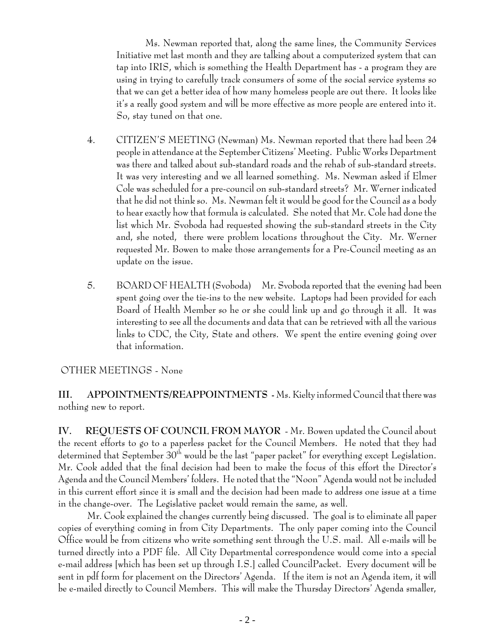Ms. Newman reported that, along the same lines, the Community Services Initiative met last month and they are talking about a computerized system that can tap into IRIS, which is something the Health Department has - a program they are using in trying to carefully track consumers of some of the social service systems so that we can get a better idea of how many homeless people are out there. It looks like it's a really good system and will be more effective as more people are entered into it. So, stay tuned on that one.

- 4. CITIZEN'S MEETING (Newman) Ms. Newman reported that there had been 24 people in attendance at the September Citizens' Meeting. Public Works Department was there and talked about sub-standard roads and the rehab of sub-standard streets. It was very interesting and we all learned something. Ms. Newman asked if Elmer Cole was scheduled for a pre-council on sub-standard streets? Mr. Werner indicated that he did not think so. Ms. Newman felt it would be good for the Council as a body to hear exactly how that formula is calculated. She noted that Mr. Cole had done the list which Mr. Svoboda had requested showing the sub-standard streets in the City and, she noted, there were problem locations throughout the City. Mr. Werner requested Mr. Bowen to make those arrangements for a Pre-Council meeting as an update on the issue.
- 5. BOARD OF HEALTH (Svoboda) Mr. Svoboda reported that the evening had been spent going over the tie-ins to the new website. Laptops had been provided for each Board of Health Member so he or she could link up and go through it all. It was interesting to see all the documents and data that can be retrieved with all the various links to CDC, the City, State and others. We spent the entire evening going over that information.

## OTHER MEETINGS - None

**III. APPOINTMENTS/REAPPOINTMENTS -** Ms. Kielty informed Council that there was nothing new to report.

**IV. REQUESTS OF COUNCIL FROM MAYOR** - Mr. Bowen updated the Council about the recent efforts to go to a paperless packet for the Council Members. He noted that they had determined that September 30<sup>th</sup> would be the last "paper packet" for everything except Legislation. Mr. Cook added that the final decision had been to make the focus of this effort the Director's Agenda and the Council Members' folders. He noted that the "Noon" Agenda would not be included in this current effort since it is small and the decision had been made to address one issue at a time in the change-over. The Legislative packet would remain the same, as well.

Mr. Cook explained the changes currently being discussed. The goal is to eliminate all paper copies of everything coming in from City Departments. The only paper coming into the Council Office would be from citizens who write something sent through the U.S. mail. All e-mails will be turned directly into a PDF file. All City Departmental correspondence would come into a special e-mail address [which has been set up through I.S.] called CouncilPacket. Every document will be sent in pdf form for placement on the Directors' Agenda. If the item is not an Agenda item, it will be e-mailed directly to Council Members. This will make the Thursday Directors' Agenda smaller,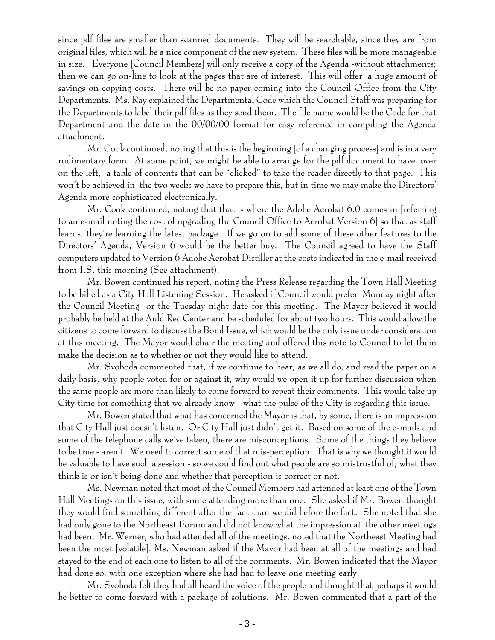since pdf files are smaller than scanned documents. They will be searchable, since they are from original files, which will be a nice component of the new system. These files will be more manageable in size. Everyone [Council Members] will only receive a copy of the Agenda -without attachments; then we can go on-line to look at the pages that are of interest. This will offer a huge amount of savings on copying costs. There will be no paper coming into the Council Office from the City Departments. Ms. Ray explained the Departmental Code which the Council Staff was preparing for the Departments to label their pdf files as they send them. The file name would be the Code for that Department and the date in the 00/00/00 format for easy reference in compiling the Agenda attachment.

Mr. Cook continued, noting that this is the beginning [of a changing process] and is in a very rudimentary form. At some point, we might be able to arrange for the pdf document to have, over on the left, a table of contents that can be "clicked" to take the reader directly to that page. This won't be achieved in the two weeks we have to prepare this, but in time we may make the Directors' Agenda more sophisticated electronically.

Mr. Cook continued, noting that that is where the Adobe Acrobat 6.0 comes in [referring to an e-mail noting the cost of upgrading the Council Office to Acrobat Version 6] so that as staff learns, they're learning the latest package. If we go on to add some of these other features to the Directors' Agenda, Version 6 would be the better buy. The Council agreed to have the Staff computers updated to Version 6 Adobe Acrobat Distiller at the costs indicated in the e-mail received from I.S. this morning (See attachment).

Mr. Bowen continued his report, noting the Press Release regarding the Town Hall Meeting to be billed as a City Hall Listening Session. He asked if Council would prefer Monday night after the Council Meeting or the Tuesday night date for this meeting. The Mayor believed it would probably be held at the Auld Rec Center and be scheduled for about two hours. This would allow the citizens to come forward to discuss the Bond Issue, which would be the only issue under consideration at this meeting. The Mayor would chair the meeting and offered this note to Council to let them make the decision as to whether or not they would like to attend.

Mr. Svoboda commented that, if we continue to hear, as we all do, and read the paper on a daily basis, why people voted for or against it, why would we open it up for further discussion when the same people are more than likely to come forward to repeat their comments. This would take up City time for something that we already know - what the pulse of the City is regarding this issue.

Mr. Bowen stated that what has concerned the Mayor is that, by some, there is an impression that City Hall just doesn't listen. Or City Hall just didn't get it. Based on some of the e-mails and some of the telephone calls we've taken, there are misconceptions. Some of the things they believe to be true - aren't. We need to correct some of that mis-perception. That is why we thought it would be valuable to have such a session - so we could find out what people are so mistrustful of; what they think is or isn't being done and whether that perception is correct or not.

Ms. Newman noted that most of the Council Members had attended at least one of the Town Hall Meetings on this issue, with some attending more than one. She asked if Mr. Bowen thought they would find something different after the fact than we did before the fact. She noted that she had only gone to the Northeast Forum and did not know what the impression at the other meetings had been. Mr. Werner, who had attended all of the meetings, noted that the Northeast Meeting had been the most [volatile]. Ms. Newman asked if the Mayor had been at all of the meetings and had stayed to the end of each one to listen to all of the comments. Mr. Bowen indicated that the Mayor had done so, with one exception where she had had to leave one meeting early.

Mr. Svoboda felt they had all heard the voice of the people and thought that perhaps it would be better to come forward with a package of solutions. Mr. Bowen commented that a part of the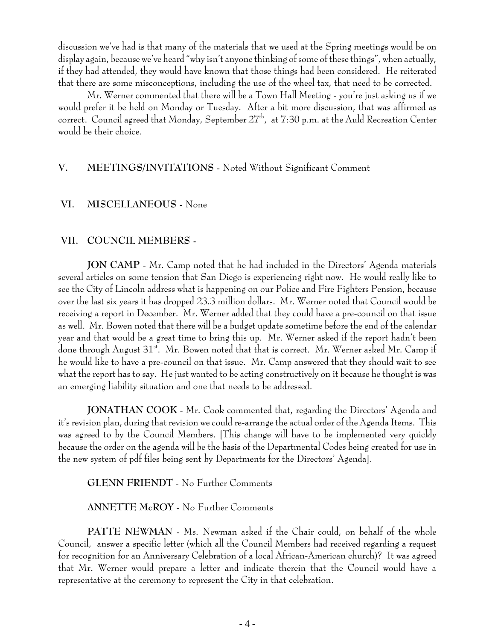discussion we've had is that many of the materials that we used at the Spring meetings would be on display again, because we've heard "why isn't anyone thinking of some of these things", when actually, if they had attended, they would have known that those things had been considered. He reiterated that there are some misconceptions, including the use of the wheel tax, that need to be corrected.

Mr. Werner commented that there will be a Town Hall Meeting - you're just asking us if we would prefer it be held on Monday or Tuesday. After a bit more discussion, that was affirmed as correct. Council agreed that Monday, September 27<sup>th</sup>, at 7:30 p.m. at the Auld Recreation Center would be their choice.

# **V. MEETINGS/INVITATIONS** - Noted Without Significant Comment

#### **VI. MISCELLANEOUS -** None

#### **VII. COUNCIL MEMBERS -**

**JON CAMP** - Mr. Camp noted that he had included in the Directors' Agenda materials several articles on some tension that San Diego is experiencing right now. He would really like to see the City of Lincoln address what is happening on our Police and Fire Fighters Pension, because over the last six years it has dropped 23.3 million dollars. Mr. Werner noted that Council would be receiving a report in December. Mr. Werner added that they could have a pre-council on that issue as well. Mr. Bowen noted that there will be a budget update sometime before the end of the calendar year and that would be a great time to bring this up. Mr. Werner asked if the report hadn't been done through August 31<sup>st</sup>. Mr. Bowen noted that that is correct. Mr. Werner asked Mr. Camp if he would like to have a pre-council on that issue. Mr. Camp answered that they should wait to see what the report has to say. He just wanted to be acting constructively on it because he thought is was an emerging liability situation and one that needs to be addressed.

**JONATHAN COOK** - Mr. Cook commented that, regarding the Directors' Agenda and it's revision plan, during that revision we could re-arrange the actual order of the Agenda Items. This was agreed to by the Council Members. [This change will have to be implemented very quickly because the order on the agenda will be the basis of the Departmental Codes being created for use in the new system of pdf files being sent by Departments for the Directors' Agenda].

**GLENN FRIENDT** - No Further Comments

**ANNETTE McROY** - No Further Comments

**PATTE NEWMAN** - Ms. Newman asked if the Chair could, on behalf of the whole Council, answer a specific letter (which all the Council Members had received regarding a request for recognition for an Anniversary Celebration of a local African-American church)? It was agreed that Mr. Werner would prepare a letter and indicate therein that the Council would have a representative at the ceremony to represent the City in that celebration.